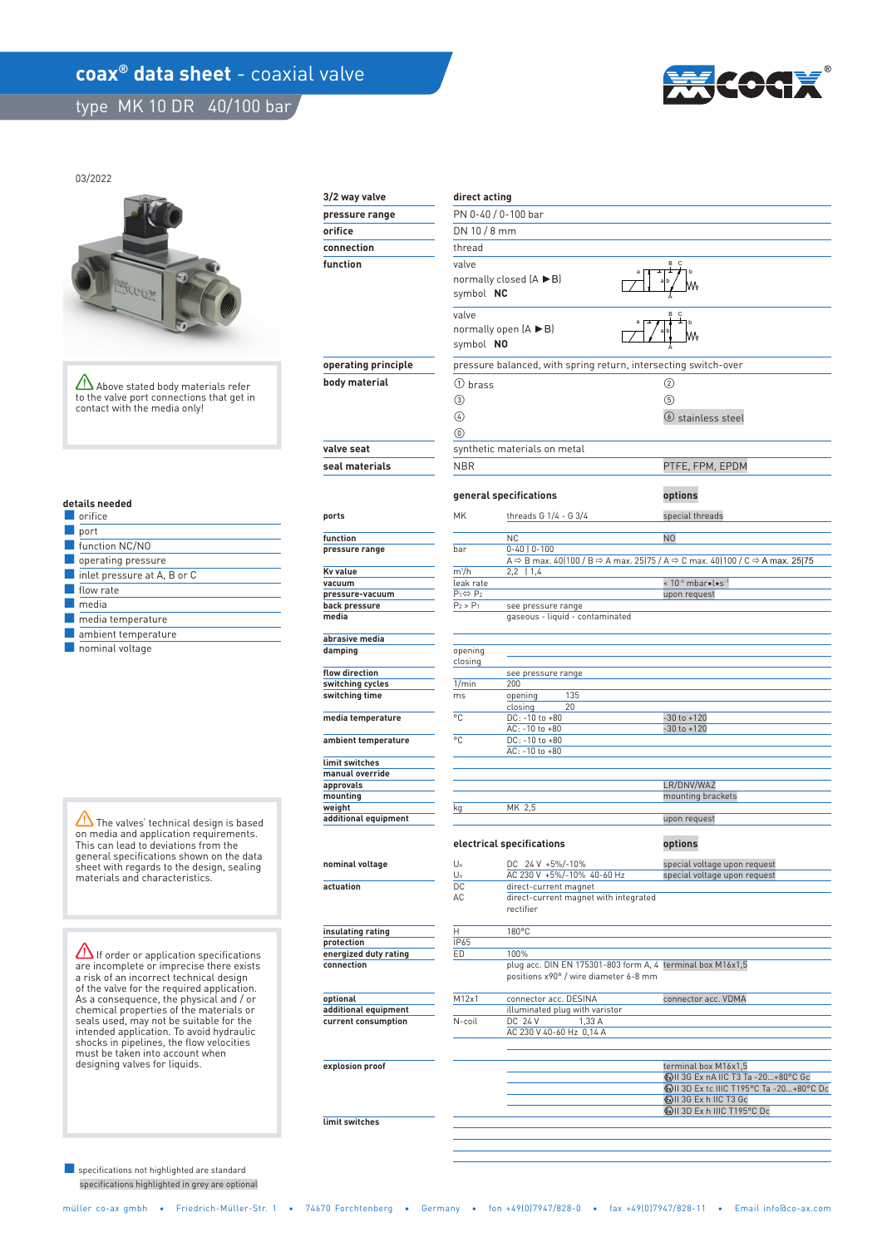## **coax<sup>®</sup> data sheet** - coaxial valve

 **limit switches** 

type MK 10 DR 40/100 bar



#### 03/2022



Above stated body materials refer to the valve port connections that get in contact with the media only!

#### **details needed**

| orifice                                    |
|--------------------------------------------|
| port                                       |
| function NC/NO                             |
| operating pressure                         |
| $\blacksquare$ inlet pressure at A, B or C |
| flow rate                                  |
| media                                      |
| $\blacksquare$ media temperature           |
| ambient temperature                        |
| .                                          |

■ nominal voltage

 $\sqrt{\frac{1}{\sqrt{2}}}$  The valves' technical design is based on media and application requirements. This can lead to deviations from the general specifications shown on the data sheet with regards to the design, sealing materials and characteristics.

**If order or application specifications** are incomplete or imprecise there exists a risk of an incorrect technical design of the valve for the required application. As a consequence, the physical and / or chemical properties of the materials or seals used, may not be suitable for the intended application. To avoid hydraulic shocks in pipelines, the flow velocities must be taken into account when designing valves for liquids.

 specifications highlighted in grey are optional ■ specifications not highlighted are standard

| 3/2 way valve                               | direct acting                                                     |                                                                    |                                                                                                                                       |  |
|---------------------------------------------|-------------------------------------------------------------------|--------------------------------------------------------------------|---------------------------------------------------------------------------------------------------------------------------------------|--|
|                                             |                                                                   | PN 0-40 / 0-100 bar                                                |                                                                                                                                       |  |
| pressure range                              |                                                                   |                                                                    |                                                                                                                                       |  |
| orifice                                     | DN 10 / 8 mm                                                      |                                                                    |                                                                                                                                       |  |
| connection                                  | thread                                                            |                                                                    |                                                                                                                                       |  |
| function                                    | B<br>$\mathbf{C}$<br>valve<br>normally closed (A ▶B)<br>symbol NC |                                                                    |                                                                                                                                       |  |
|                                             | valve<br>symbol NO                                                | normally open $(A \triangleright B)$                               | B.<br>C<br>b                                                                                                                          |  |
| operating principle                         |                                                                   | pressure balanced, with spring return, intersecting switch-over    |                                                                                                                                       |  |
| body material                               | 1) brass                                                          |                                                                    | ②                                                                                                                                     |  |
|                                             | $\circled{3}$<br>④<br>$\circledcirc$                              |                                                                    | (5)<br>$\circ$ stainless steel                                                                                                        |  |
| valve seat                                  |                                                                   | synthetic materials on metal                                       |                                                                                                                                       |  |
| seal materials                              | <b>NBR</b>                                                        |                                                                    | PTFE, FPM, EPDM                                                                                                                       |  |
|                                             |                                                                   |                                                                    |                                                                                                                                       |  |
|                                             | general specifications                                            |                                                                    | options                                                                                                                               |  |
| ports                                       | MK                                                                | threads G 1/4 - G 3/4                                              | special threads                                                                                                                       |  |
| function                                    |                                                                   | <b>NC</b>                                                          | N <sub>0</sub>                                                                                                                        |  |
| pressure range                              | bar                                                               | $0-40$   $0-100$                                                   | A $\Rightarrow$ B max. 40 100 / B $\Rightarrow$ A max. 25 75 / A $\Rightarrow$ C max. 40 100 / C $\Rightarrow$ A max. 25 75           |  |
| Kv value                                    | $m^3/h$                                                           | $2,2$   1,4                                                        |                                                                                                                                       |  |
| vacuum                                      | leak rate                                                         |                                                                    | < 10 <sup>-6</sup> mbar•l•s <sup>-1</sup>                                                                                             |  |
| pressure-vacuum                             | $P_1 \Leftrightarrow P_2$                                         |                                                                    | upon request                                                                                                                          |  |
| back pressure<br>media                      | $P_2 > P_1$                                                       | see pressure range<br>gaseous - liquid - contaminated              |                                                                                                                                       |  |
| abrasive media                              |                                                                   |                                                                    |                                                                                                                                       |  |
| damping                                     | opening<br>closing                                                |                                                                    |                                                                                                                                       |  |
| flow direction<br>switching cycles          | 1/min                                                             | see pressure range<br>200                                          |                                                                                                                                       |  |
| switching time                              | ms                                                                | 135<br>opening                                                     |                                                                                                                                       |  |
|                                             |                                                                   | closing<br>20                                                      |                                                                                                                                       |  |
| media temperature                           | °C                                                                | DC: -10 to +80<br>AC: -10 to +80                                   | $-30$ to $+120$<br>$-30$ to $+120$                                                                                                    |  |
| ambient temperature                         | °C                                                                | DC: -10 to +80                                                     |                                                                                                                                       |  |
|                                             |                                                                   | AC: -10 to +80                                                     |                                                                                                                                       |  |
| limit switches<br>manual override           |                                                                   |                                                                    |                                                                                                                                       |  |
| approvals                                   |                                                                   |                                                                    | LR/DNV/WAZ                                                                                                                            |  |
| mounting                                    |                                                                   |                                                                    | mounting brackets                                                                                                                     |  |
| weight<br>additional equipment              | kg                                                                | MK 2,5                                                             | upon request                                                                                                                          |  |
|                                             |                                                                   | electrical specifications                                          | options                                                                                                                               |  |
| nominal voltage                             | $U_n$                                                             | DC 24 V +5%/-10%                                                   | special voltage upon request                                                                                                          |  |
|                                             | Un                                                                | AC 230 V +5%/-10% 40-60 Hz                                         | special voltage upon request                                                                                                          |  |
| actuation                                   | DC                                                                | direct-current magnet                                              |                                                                                                                                       |  |
|                                             | AC                                                                | direct-current magnet with integrated<br>rectifier                 |                                                                                                                                       |  |
| insulating rating                           | Η                                                                 | 180°C                                                              |                                                                                                                                       |  |
| protection                                  | IP65                                                              |                                                                    |                                                                                                                                       |  |
| energized duty rating<br>connection         | ED                                                                | 100%<br>plug acc. DIN EN 175301-803 form A, 4 terminal box M16x1,5 |                                                                                                                                       |  |
|                                             |                                                                   | positions x90° / wire diameter 6-8 mm                              |                                                                                                                                       |  |
| optional                                    | M12x1                                                             | connector acc. DESINA                                              | connector acc. VDMA                                                                                                                   |  |
| additional equipment<br>current consumption | N-coil                                                            | illuminated plug with varistor<br>DC 24 V<br>1,33 A                |                                                                                                                                       |  |
|                                             |                                                                   | AC 230 V 40-60 Hz 0,14 A                                           |                                                                                                                                       |  |
|                                             |                                                                   |                                                                    |                                                                                                                                       |  |
| explosion proof                             |                                                                   |                                                                    | terminal box M16x1,5<br><b>WII 3G Ex nA IIC T3 Ta -20+80°C Gc</b><br>ⓒII 3D Ex tc IIIC T195°C Ta -20+80°C Dc<br>ⓒII 3G Ex h IIC T3 Gc |  |
| limit switches                              |                                                                   |                                                                    | Sill 3D Ex h IIIC T195°C Dc                                                                                                           |  |